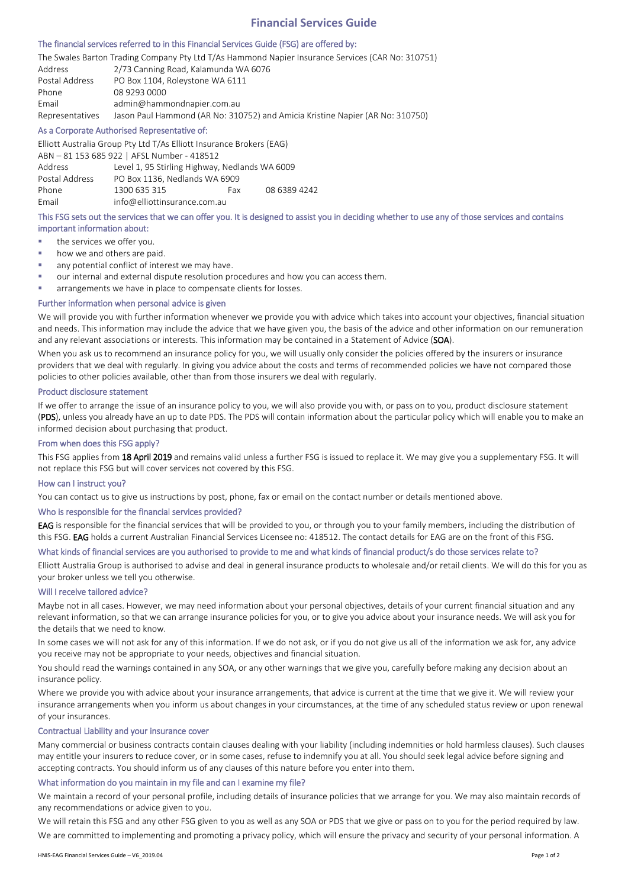# **Financial Services Guide**

#### The financial services referred to in this Financial Services Guide (FSG) are offered by:

The Swales Barton Trading Company Pty Ltd T/As Hammond Napier Insurance Services (CAR No: 310751) Address 2/73 Canning Road, Kalamunda WA 6076 Postal Address PO Box 1104, Roleystone WA 6111 Phone 08 9293 0000 Email admin@hammondnapier.com.au Representatives Jason Paul Hammond (AR No: 310752) and Amicia Kristine Napier (AR No: 310750)

#### As a Corporate Authorised Representative of:

Elliott Australia Group Pty Ltd T/As Elliott Insurance Brokers (EAG)

ABN – 81 153 685 922 | AFSL Number - 418512 Address Level 1, 95 Stirling Highway, Nedlands WA 6009 Postal Address PO Box 1136, Nedlands WA 6909 Phone 1300 635 315 Fax 08 6389 4242 Email info@elliottinsurance.com.au

## This FSG sets out the services that we can offer you. It is designed to assist you in deciding whether to use any of those services and contains important information about:

- the services we offer you.
- how we and others are paid.
- any potential conflict of interest we may have.
- our internal and external dispute resolution procedures and how you can access them.
- arrangements we have in place to compensate clients for losses.

## Further information when personal advice is given

We will provide you with further information whenever we provide you with advice which takes into account your objectives, financial situation and needs. This information may include the advice that we have given you, the basis of the advice and other information on our remuneration and any relevant associations or interests. This information may be contained in a Statement of Advice (SOA).

When you ask us to recommend an insurance policy for you, we will usually only consider the policies offered by the insurers or insurance providers that we deal with regularly. In giving you advice about the costs and terms of recommended policies we have not compared those policies to other policies available, other than from those insurers we deal with regularly.

# Product disclosure statement

If we offer to arrange the issue of an insurance policy to you, we will also provide you with, or pass on to you, product disclosure statement (PDS), unless you already have an up to date PDS. The PDS will contain information about the particular policy which will enable you to make an informed decision about purchasing that product.

### From when does this FSG apply?

This FSG applies from 18 April 2019 and remains valid unless a further FSG is issued to replace it. We may give you a supplementary FSG. It will not replace this FSG but will cover services not covered by this FSG.

## How can I instruct you?

You can contact us to give us instructions by post, phone, fax or email on the contact number or details mentioned above.

## Who is responsible for the financial services provided?

EAG is responsible for the financial services that will be provided to you, or through you to your family members, including the distribution of this FSG. EAG holds a current Australian Financial Services Licensee no: 418512. The contact details for EAG are on the front of this FSG.

## What kinds of financial services are you authorised to provide to me and what kinds of financial product/s do those services relate to?

Elliott Australia Group is authorised to advise and deal in general insurance products to wholesale and/or retail clients. We will do this for you as your broker unless we tell you otherwise.

#### Will I receive tailored advice?

Maybe not in all cases. However, we may need information about your personal objectives, details of your current financial situation and any relevant information, so that we can arrange insurance policies for you, or to give you advice about your insurance needs. We will ask you for the details that we need to know.

In some cases we will not ask for any of this information. If we do not ask, or if you do not give us all of the information we ask for, any advice you receive may not be appropriate to your needs, objectives and financial situation.

You should read the warnings contained in any SOA, or any other warnings that we give you, carefully before making any decision about an insurance policy.

Where we provide you with advice about your insurance arrangements, that advice is current at the time that we give it. We will review your insurance arrangements when you inform us about changes in your circumstances, at the time of any scheduled status review or upon renewal of your insurances.

### Contractual Liability and your insurance cover

Many commercial or business contracts contain clauses dealing with your liability (including indemnities or hold harmless clauses). Such clauses may entitle your insurers to reduce cover, or in some cases, refuse to indemnify you at all. You should seek legal advice before signing and accepting contracts. You should inform us of any clauses of this nature before you enter into them.

#### What information do you maintain in my file and can I examine my file?

We maintain a record of your personal profile, including details of insurance policies that we arrange for you. We may also maintain records of any recommendations or advice given to you.

We will retain this FSG and any other FSG given to you as well as any SOA or PDS that we give or pass on to you for the period required by law. We are committed to implementing and promoting a privacy policy, which will ensure the privacy and security of your personal information. A